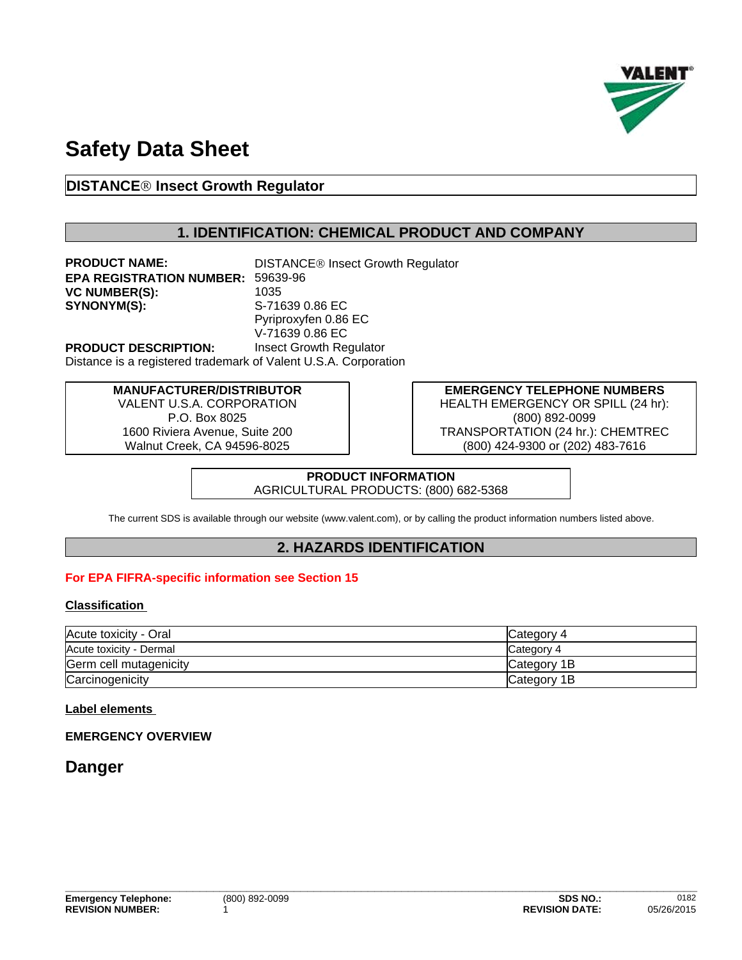

# **Safety Data Sheet**

# **DISTANCEÒ Insect Growth Regulator**

# **1. IDENTIFICATION: CHEMICAL PRODUCT AND COMPANY**

**PRODUCT NAME:** DISTANCE<sup>®</sup> Insect Growth Regulator **EPA REGISTRATION NUMBER:** 59639-96 **VC NUMBER(S):** 1035 **SYNONYM(S):** S-71639 0.86 EC Pyriproxyfen 0.86 EC V-71639 0.86 EC **PRODUCT DESCRIPTION:** Insect Growth Regulator

Distance is a registered trademark of Valent U.S.A. Corporation

#### **MANUFACTURER/DISTRIBUTOR**

VALENT U.S.A. CORPORATION P.O. Box 8025 1600 Riviera Avenue, Suite 200 Walnut Creek, CA 94596-8025

**EMERGENCY TELEPHONE NUMBERS** HEALTH EMERGENCY OR SPILL (24 hr): (800) 892-0099 TRANSPORTATION (24 hr.): CHEMTREC (800) 424-9300 or (202) 483-7616

**PRODUCT INFORMATION** AGRICULTURAL PRODUCTS: (800) 682-5368

The current SDS is available through our website (www.valent.com), or by calling the product information numbers listed above.

# **2. HAZARDS IDENTIFICATION**

#### **For EPA FIFRA-specific information see Section 15**

#### **Classification**

| Acute toxicity - Oral   | <b>ICategory 4</b> |
|-------------------------|--------------------|
| Acute toxicity - Dermal | <b>Category 4</b>  |
| Germ cell mutagenicity  | Category 1B        |
| Carcinogenicity         | Category 1B        |

#### **Label elements**

#### **EMERGENCY OVERVIEW**

# **Danger**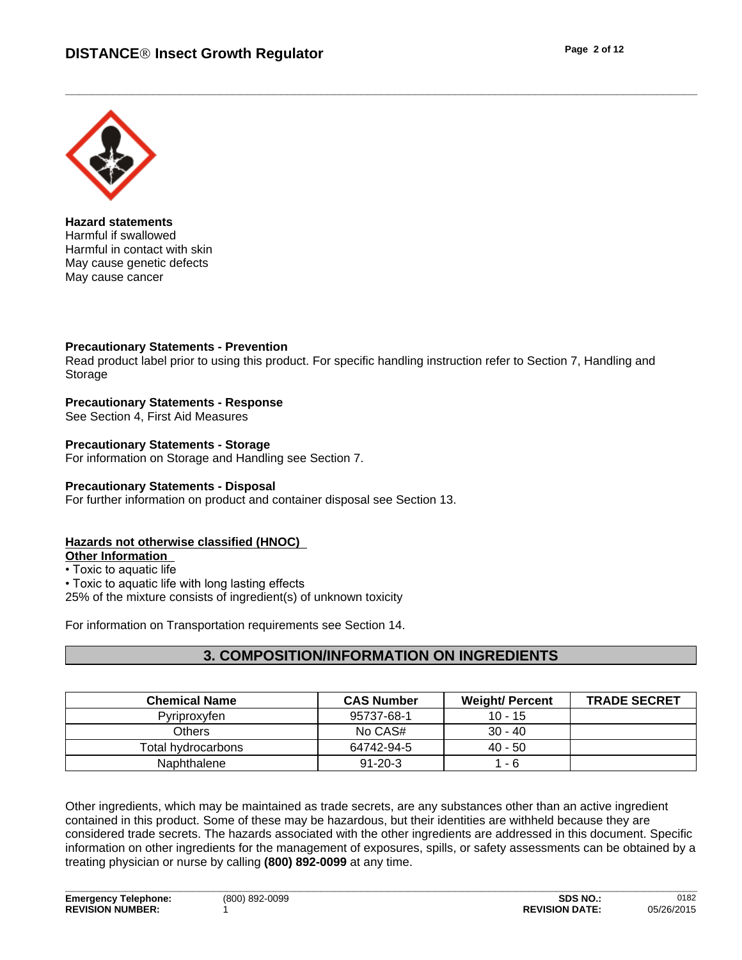

**Hazard statements** Harmful if swallowed Harmful in contact with skin May cause genetic defects May cause cancer

#### **Precautionary Statements - Prevention**

Read product label prior to using this product. For specific handling instruction refer to Section 7, Handling and Storage

#### **Precautionary Statements - Response**

See Section 4, First Aid Measures

#### **Precautionary Statements - Storage** For information on Storage and Handling see Section 7.

**Precautionary Statements - Disposal** For further information on product and container disposal see Section 13.

#### **Hazards not otherwise classified (HNOC)**

**Other Information** 

• Toxic to aquatic life

• Toxic to aquatic life with long lasting effects

25% of the mixture consists of ingredient(s) of unknown toxicity

For information on Transportation requirements see Section 14.

# **3. COMPOSITION/INFORMATION ON INGREDIENTS**

| <b>Chemical Name</b> | <b>CAS Number</b> | <b>Weight/ Percent</b> | <b>TRADE SECRET</b> |
|----------------------|-------------------|------------------------|---------------------|
| Pyriproxyfen         | 95737-68-1        | $10 - 15$              |                     |
| Others               | No CAS#           | $30 - 40$              |                     |
| Total hydrocarbons   | 64742-94-5        | $40 - 50$              |                     |
| Naphthalene          | $91 - 20 - 3$     | - 6                    |                     |

Other ingredients, which may be maintained as trade secrets, are any substances other than an active ingredient contained in this product. Some of these may be hazardous, but their identities are withheld because they are considered trade secrets. The hazards associated with the other ingredients are addressed in this document. Specific information on other ingredients for the management of exposures, spills, or safety assessments can be obtained by a treating physician or nurse by calling **(800) 892-0099** at any time.

**\_\_\_\_\_\_\_\_\_\_\_\_\_\_\_\_\_\_\_\_\_\_\_\_\_\_\_\_\_\_\_\_\_\_\_\_\_\_\_\_\_\_\_\_\_\_\_\_\_\_\_\_\_\_\_\_\_\_\_\_\_\_\_\_\_\_\_\_\_\_\_\_\_\_\_\_\_\_\_\_\_\_\_\_\_\_\_\_\_\_\_\_\_\_**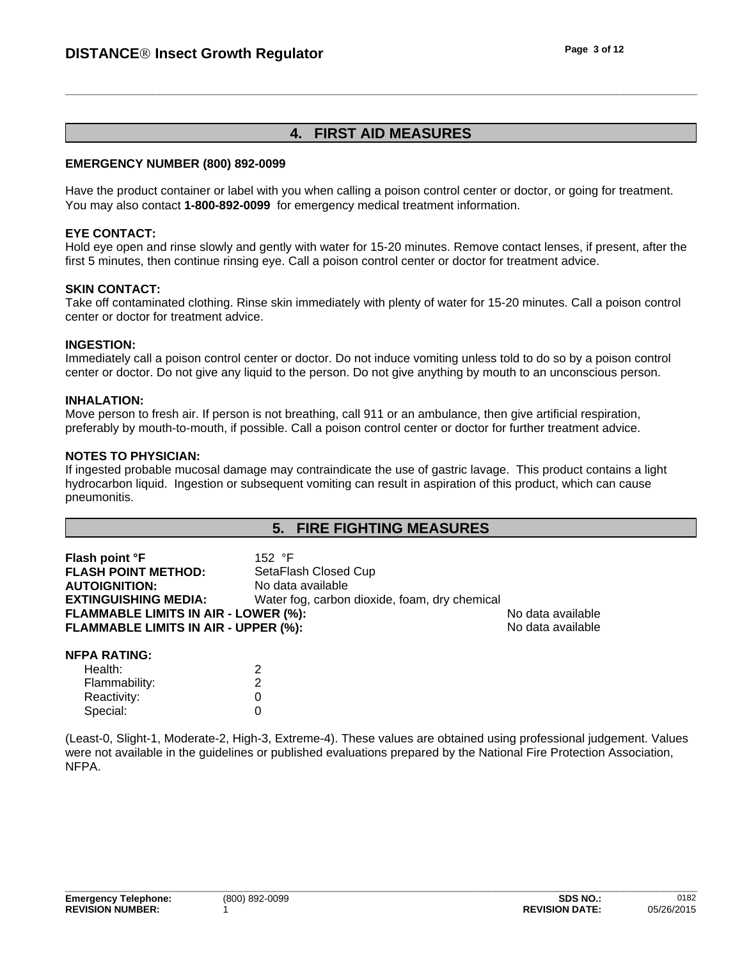# **4. FIRST AID MEASURES**

#### **EMERGENCY NUMBER (800) 892-0099**

Have the product container or label with you when calling a poison control center or doctor, or going for treatment. You may also contact **1-800-892-0099** for emergency medical treatment information.

#### **EYE CONTACT:**

Hold eye open and rinse slowly and gently with water for 15-20 minutes. Remove contact lenses, if present, after the first 5 minutes, then continue rinsing eye. Call a poison control center or doctor for treatment advice.

#### **SKIN CONTACT:**

Take off contaminated clothing. Rinse skin immediately with plenty of water for 15-20 minutes. Call a poison control center or doctor for treatment advice.

#### **INGESTION:**

Immediately call a poison control center or doctor. Do not induce vomiting unless told to do so by a poison control center or doctor. Do not give any liquid to the person. Do not give anything by mouth to an unconscious person.

#### **INHALATION:**

Move person to fresh air. If person is not breathing, call 911 or an ambulance, then give artificial respiration, preferably by mouth-to-mouth, if possible. Call a poison control center or doctor for further treatment advice.

#### **NOTES TO PHYSICIAN:**

If ingested probable mucosal damage may contraindicate the use of gastric lavage. This product contains a light hydrocarbon liquid. Ingestion or subsequent vomiting can result in aspiration of this product, which can cause pneumonitis.

### **5. FIRE FIGHTING MEASURES**

| Flash point °F                              | 152 °F                                        |                   |  |
|---------------------------------------------|-----------------------------------------------|-------------------|--|
| <b>FLASH POINT METHOD:</b>                  | SetaFlash Closed Cup                          |                   |  |
| <b>AUTOIGNITION:</b>                        | No data available                             |                   |  |
| <b>EXTINGUISHING MEDIA:</b>                 | Water fog, carbon dioxide, foam, dry chemical |                   |  |
| <b>FLAMMABLE LIMITS IN AIR - LOWER (%):</b> |                                               | No data available |  |
| <b>FLAMMABLE LIMITS IN AIR - UPPER (%):</b> |                                               | No data available |  |
|                                             |                                               |                   |  |

#### **NFPA RATING:**

| Health:       | ◠ |  |
|---------------|---|--|
| Flammability: |   |  |
| Reactivity:   |   |  |
| Special:      |   |  |

(Least-0, Slight-1, Moderate-2, High-3, Extreme-4). These values are obtained using professional judgement. Values were not available in the guidelines or published evaluations prepared by the National Fire Protection Association, NFPA.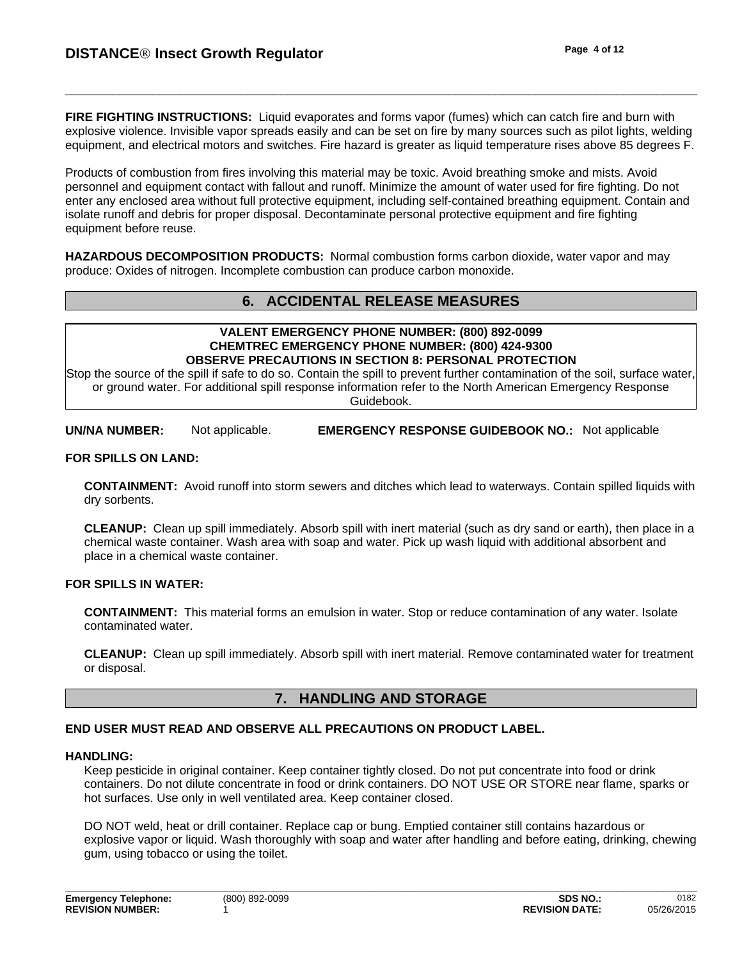**FIRE FIGHTING INSTRUCTIONS:** Liquid evaporates and forms vapor (fumes) which can catch fire and burn with explosive violence. Invisible vapor spreads easily and can be set on fire by many sources such as pilot lights, welding equipment, and electrical motors and switches. Fire hazard is greater as liquid temperature rises above 85 degrees F.

Products of combustion from fires involving this material may be toxic. Avoid breathing smoke and mists. Avoid personnel and equipment contact with fallout and runoff. Minimize the amount of water used for fire fighting. Do not enter any enclosed area without full protective equipment, including self-contained breathing equipment. Contain and isolate runoff and debris for proper disposal. Decontaminate personal protective equipment and fire fighting equipment before reuse.

**HAZARDOUS DECOMPOSITION PRODUCTS:** Normal combustion forms carbon dioxide, water vapor and may produce: Oxides of nitrogen. Incomplete combustion can produce carbon monoxide.

### **6. ACCIDENTAL RELEASE MEASURES**

#### **VALENT EMERGENCY PHONE NUMBER: (800) 892-0099 CHEMTREC EMERGENCY PHONE NUMBER: (800) 424-9300 OBSERVE PRECAUTIONS IN SECTION 8: PERSONAL PROTECTION**

Stop the source of the spill if safe to do so. Contain the spill to prevent further contamination of the soil, surface water, or ground water. For additional spill response information refer to the North American Emergency Response Guidebook.

**UN/NA NUMBER:** Not applicable. **EMERGENCY RESPONSE GUIDEBOOK NO.:** Not applicable

#### **FOR SPILLS ON LAND:**

**CONTAINMENT:** Avoid runoff into storm sewers and ditches which lead to waterways. Contain spilled liquids with dry sorbents.

**CLEANUP:** Clean up spill immediately. Absorb spill with inert material (such as dry sand or earth), then place in a chemical waste container. Wash area with soap and water. Pick up wash liquid with additional absorbent and place in a chemical waste container.

#### **FOR SPILLS IN WATER:**

**CONTAINMENT:** This material forms an emulsion in water. Stop or reduce contamination of any water. Isolate contaminated water.

**CLEANUP:** Clean up spill immediately. Absorb spill with inert material. Remove contaminated water for treatment or disposal.

### **7. HANDLING AND STORAGE**

#### **END USER MUST READ AND OBSERVE ALL PRECAUTIONS ON PRODUCT LABEL.**

#### **HANDLING:**

Keep pesticide in original container. Keep container tightly closed. Do not put concentrate into food or drink containers. Do not dilute concentrate in food or drink containers. DO NOT USE OR STORE near flame, sparks or hot surfaces. Use only in well ventilated area. Keep container closed.

DO NOT weld, heat or drill container. Replace cap or bung. Emptied container still contains hazardous or explosive vapor or liquid. Wash thoroughly with soap and water after handling and before eating, drinking, chewing gum, using tobacco or using the toilet.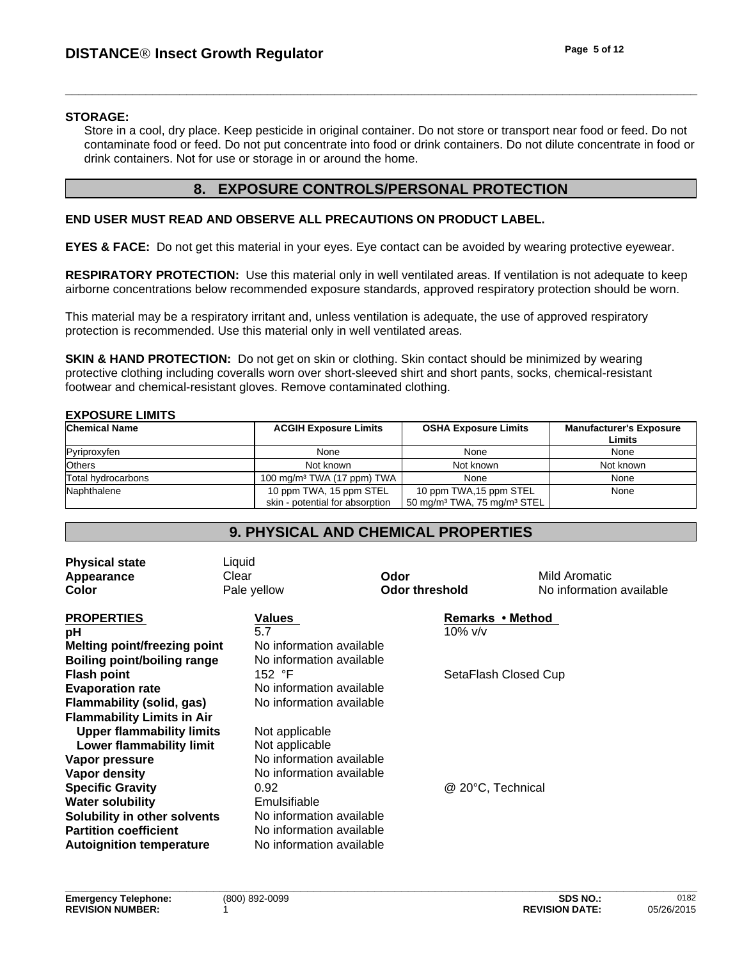#### **STORAGE:**

Store in a cool, dry place. Keep pesticide in original container. Do not store or transport near food or feed. Do not contaminate food or feed. Do not put concentrate into food or drink containers. Do not dilute concentrate in food or drink containers. Not for use or storage in or around the home.

### **8. EXPOSURE CONTROLS/PERSONAL PROTECTION**

#### **END USER MUST READ AND OBSERVE ALL PRECAUTIONS ON PRODUCT LABEL.**

**EYES & FACE:** Do not get this material in your eyes. Eye contact can be avoided by wearing protective eyewear.

**RESPIRATORY PROTECTION:** Use this material only in well ventilated areas. If ventilation is not adequate to keep airborne concentrations below recommended exposure standards, approved respiratory protection should be worn.

This material may be a respiratory irritant and, unless ventilation is adequate, the use of approved respiratory protection is recommended. Use this material only in well ventilated areas.

**SKIN & HAND PROTECTION:** Do not get on skin or clothing. Skin contact should be minimized by wearing protective clothing including coveralls worn over short-sleeved shirt and short pants, socks, chemical-resistant footwear and chemical-resistant gloves. Remove contaminated clothing.

| <b>Chemical Name</b> | <b>ACGIH Exposure Limits</b>                               | <b>OSHA Exposure Limits</b>                                                    | <b>Manufacturer's Exposure</b><br>Limits |
|----------------------|------------------------------------------------------------|--------------------------------------------------------------------------------|------------------------------------------|
| Pyriproxyfen         | None                                                       | None                                                                           | None                                     |
| Others               | Not known                                                  | Not known                                                                      | Not known                                |
| Total hydrocarbons   | 100 mg/m <sup>3</sup> TWA (17 ppm) TWA                     | None                                                                           | None                                     |
| Naphthalene          | 10 ppm TWA, 15 ppm STEL<br>skin - potential for absorption | 10 ppm TWA, 15 ppm STEL<br>50 mg/m <sup>3</sup> TWA, 75 mg/m <sup>3</sup> STEL | None                                     |

# **9. PHYSICAL AND CHEMICAL PROPERTIES**

| <b>Physical state</b><br>Appearance<br>Color | Liquid<br>Clear<br>Pale yellow | Odor<br><b>Odor threshold</b> | Mild Aromatic<br>No information available |
|----------------------------------------------|--------------------------------|-------------------------------|-------------------------------------------|
| <b>PROPERTIES</b>                            | Values<br>5.7                  | 10% v/v                       | Remarks • Method                          |
| рH<br><b>Melting point/freezing point</b>    | No information available       |                               |                                           |
| <b>Boiling point/boiling range</b>           | No information available       |                               |                                           |
| <b>Flash point</b>                           | 152 °F                         |                               | SetaFlash Closed Cup                      |
| <b>Evaporation rate</b>                      | No information available       |                               |                                           |
| Flammability (solid, gas)                    | No information available       |                               |                                           |
| <b>Flammability Limits in Air</b>            |                                |                               |                                           |
| <b>Upper flammability limits</b>             | Not applicable                 |                               |                                           |
| Lower flammability limit                     | Not applicable                 |                               |                                           |
| Vapor pressure                               | No information available       |                               |                                           |
| Vapor density                                | No information available       |                               |                                           |
| <b>Specific Gravity</b>                      | 0.92                           | @ 20°C, Technical             |                                           |
| <b>Water solubility</b>                      | Emulsifiable                   |                               |                                           |
| Solubility in other solvents                 | No information available       |                               |                                           |
| <b>Partition coefficient</b>                 | No information available       |                               |                                           |
| <b>Autoignition temperature</b>              | No information available       |                               |                                           |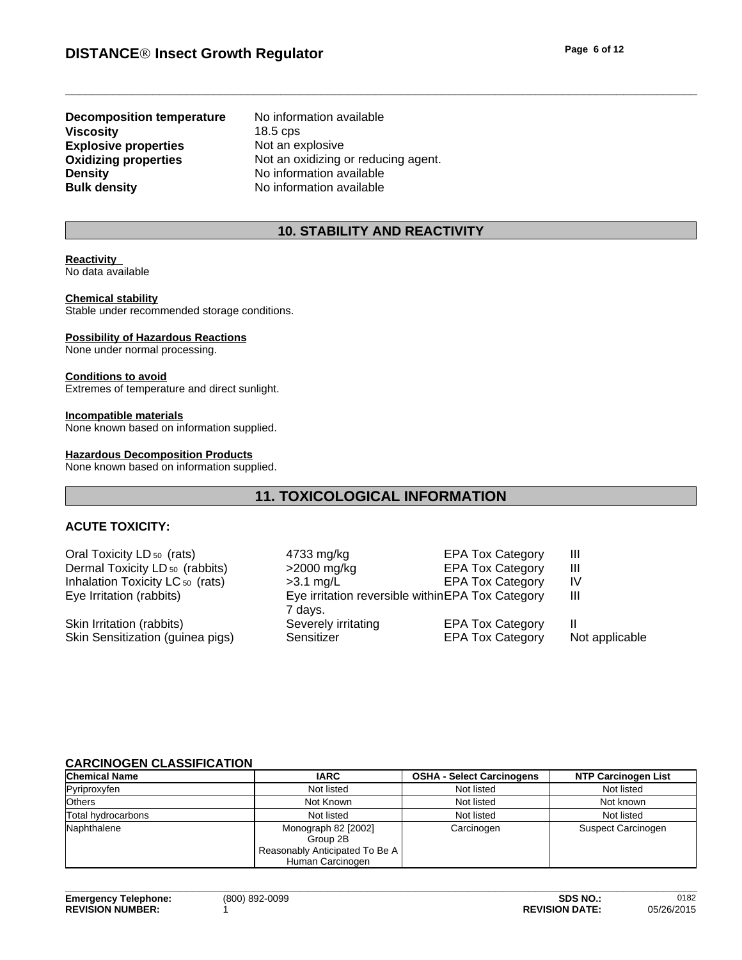**Explosive properties**<br> **Oxidizing properties**<br>
Not an oxidizing over **Density**<br> **Bulk density**<br> **Bulk density**<br> **CO N**o information available **Decomposition temperature** No information available **Viscosity** 18.5 cps

Not an oxidizing or reducing agent. **No information available** 

### **10. STABILITY AND REACTIVITY**

#### **Reactivity**  No data available

**Chemical stability** Stable under recommended storage conditions.

#### **Possibility of Hazardous Reactions** None under normal processing.

**Conditions to avoid** Extremes of temperature and direct sunlight.

**Incompatible materials** None known based on information supplied.

#### **Hazardous Decomposition Products**

None known based on information supplied.

# **11. TOXICOLOGICAL INFORMATION**

### **ACUTE TOXICITY:**

| Oral Toxicity LD <sub>50</sub> (rats)       | 4733 mg/kg                                       | <b>EPA Tox Category</b> | Ш              |
|---------------------------------------------|--------------------------------------------------|-------------------------|----------------|
| Dermal Toxicity LD <sub>50</sub> (rabbits)  | >2000 mg/kg                                      | <b>EPA Tox Category</b> | Ш              |
| Inhalation Toxicity LC <sub>50</sub> (rats) | $>3.1$ mg/L                                      | <b>EPA Tox Category</b> | IV             |
| Eye Irritation (rabbits)                    | Eye irritation reversible withinEPA Tox Category |                         | Ш              |
|                                             | 7 days.                                          |                         |                |
| Skin Irritation (rabbits)                   | Severely irritating                              | <b>EPA Tox Category</b> |                |
| Skin Sensitization (guinea pigs)            | Sensitizer                                       | <b>EPA Tox Category</b> | Not applicable |
|                                             |                                                  |                         |                |

#### **CARCINOGEN CLASSIFICATION**

| <b>Chemical Name</b> | <b>IARC</b>                                                                           | <b>OSHA - Select Carcinogens</b> | <b>NTP Carcinogen List</b> |
|----------------------|---------------------------------------------------------------------------------------|----------------------------------|----------------------------|
| Pyriproxyfen         | Not listed                                                                            | Not listed                       | Not listed                 |
| <b>Others</b>        | Not Known                                                                             | Not listed                       | Not known                  |
| Total hvdrocarbons   | Not listed                                                                            | Not listed                       | Not listed                 |
| Naphthalene          | Monograph 82 [2002]<br>Group 2B<br>Reasonably Anticipated To Be A<br>Human Carcinogen | Carcinogen                       | Suspect Carcinogen         |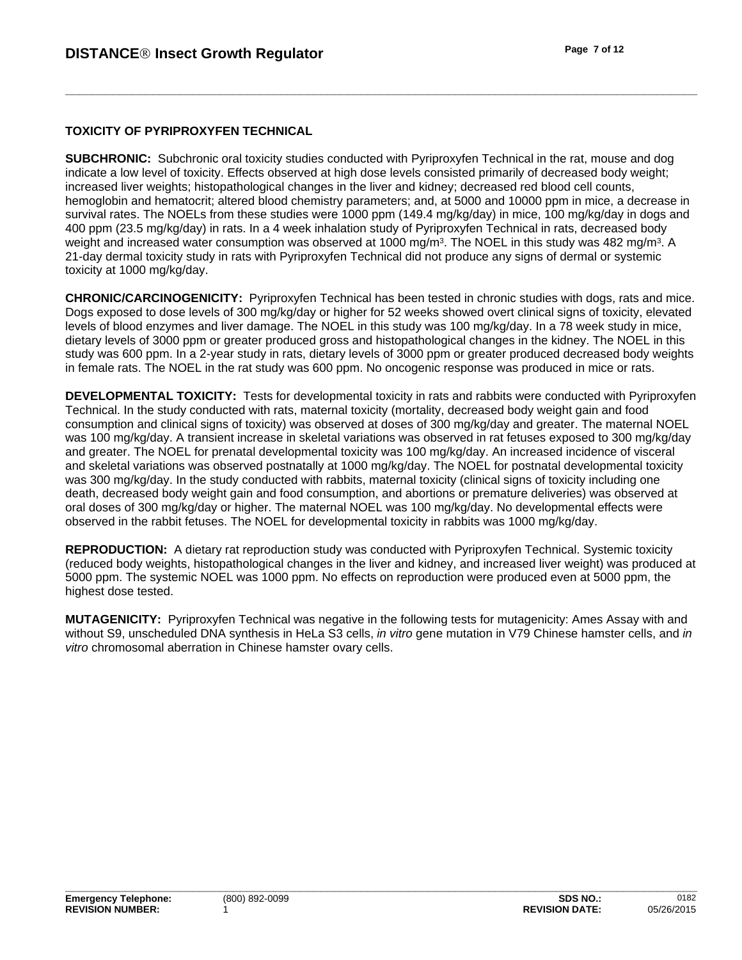#### **TOXICITY OF PYRIPROXYFEN TECHNICAL**

**SUBCHRONIC:** Subchronic oral toxicity studies conducted with Pyriproxyfen Technical in the rat, mouse and dog indicate a low level of toxicity. Effects observed at high dose levels consisted primarily of decreased body weight; increased liver weights; histopathological changes in the liver and kidney; decreased red blood cell counts, hemoglobin and hematocrit; altered blood chemistry parameters; and, at 5000 and 10000 ppm in mice, a decrease in survival rates. The NOELs from these studies were 1000 ppm (149.4 mg/kg/day) in mice, 100 mg/kg/day in dogs and 400 ppm (23.5 mg/kg/day) in rats. In a 4 week inhalation study of Pyriproxyfen Technical in rats, decreased body weight and increased water consumption was observed at 1000 mg/m<sup>3</sup>. The NOEL in this study was 482 mg/m<sup>3</sup>. A . A 21-day dermal toxicity study in rats with Pyriproxyfen Technical did not produce any signs of dermal or systemic toxicity at 1000 mg/kg/day.

**CHRONIC/CARCINOGENICITY:** Pyriproxyfen Technical has been tested in chronic studies with dogs, rats and mice. Dogs exposed to dose levels of 300 mg/kg/day or higher for 52 weeks showed overt clinical signs of toxicity, elevated levels of blood enzymes and liver damage. The NOEL in this study was 100 mg/kg/day. In a 78 week study in mice, dietary levels of 3000 ppm or greater produced gross and histopathological changes in the kidney. The NOEL in this study was 600 ppm. In a 2-year study in rats, dietary levels of 3000 ppm or greater produced decreased body weights in female rats. The NOEL in the rat study was 600 ppm. No oncogenic response was produced in mice or rats.

**DEVELOPMENTAL TOXICITY:** Tests for developmental toxicity in rats and rabbits were conducted with Pyriproxyfen Technical. In the study conducted with rats, maternal toxicity (mortality, decreased body weight gain and food consumption and clinical signs of toxicity) was observed at doses of 300 mg/kg/day and greater. The maternal NOEL was 100 mg/kg/day. A transient increase in skeletal variations was observed in rat fetuses exposed to 300 mg/kg/day and greater. The NOEL for prenatal developmental toxicity was 100 mg/kg/day. An increased incidence of visceral and skeletal variations was observed postnatally at 1000 mg/kg/day. The NOEL for postnatal developmental toxicity was 300 mg/kg/day. In the study conducted with rabbits, maternal toxicity (clinical signs of toxicity including one death, decreased body weight gain and food consumption, and abortions or premature deliveries) was observed at oral doses of 300 mg/kg/day or higher. The maternal NOEL was 100 mg/kg/day. No developmental effects were observed in the rabbit fetuses. The NOEL for developmental toxicity in rabbits was 1000 mg/kg/day.

**REPRODUCTION:** A dietary rat reproduction study was conducted with Pyriproxyfen Technical. Systemic toxicity (reduced body weights, histopathological changes in the liver and kidney, and increased liver weight) was produced at 5000 ppm. The systemic NOEL was 1000 ppm. No effects on reproduction were produced even at 5000 ppm, the highest dose tested.

**MUTAGENICITY:** Pyriproxyfen Technical was negative in the following tests for mutagenicity: Ames Assay with and without S9, unscheduled DNA synthesis in HeLa S3 cells, *in vitro* gene mutation in V79 Chinese hamster cells, and *in vitro* chromosomal aberration in Chinese hamster ovary cells.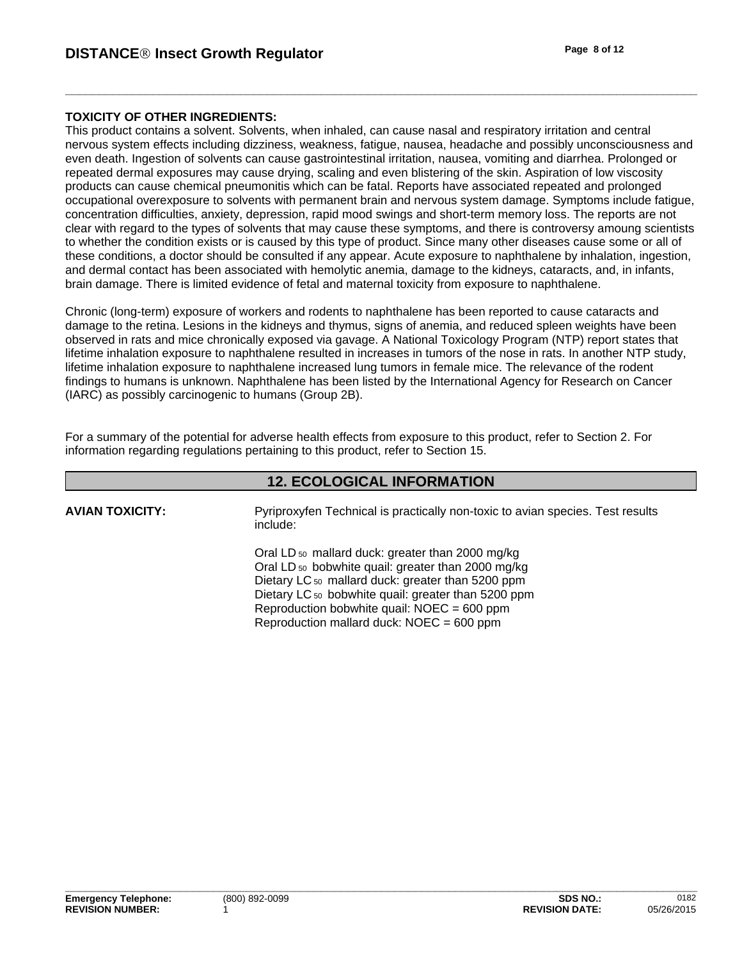### **TOXICITY OF OTHER INGREDIENTS:**

This product contains a solvent. Solvents, when inhaled, can cause nasal and respiratory irritation and central nervous system effects including dizziness, weakness, fatigue, nausea, headache and possibly unconsciousness and even death. Ingestion of solvents can cause gastrointestinal irritation, nausea, vomiting and diarrhea. Prolonged or repeated dermal exposures may cause drying, scaling and even blistering of the skin. Aspiration of low viscosity products can cause chemical pneumonitis which can be fatal. Reports have associated repeated and prolonged occupational overexposure to solvents with permanent brain and nervous system damage. Symptoms include fatigue, concentration difficulties, anxiety, depression, rapid mood swings and short-term memory loss. The reports are not clear with regard to the types of solvents that may cause these symptoms, and there is controversy amoung scientists to whether the condition exists or is caused by this type of product. Since many other diseases cause some or all of these conditions, a doctor should be consulted if any appear. Acute exposure to naphthalene by inhalation, ingestion, and dermal contact has been associated with hemolytic anemia, damage to the kidneys, cataracts, and, in infants, brain damage. There is limited evidence of fetal and maternal toxicity from exposure to naphthalene.

Chronic (long-term) exposure of workers and rodents to naphthalene has been reported to cause cataracts and damage to the retina. Lesions in the kidneys and thymus, signs of anemia, and reduced spleen weights have been observed in rats and mice chronically exposed via gavage. A National Toxicology Program (NTP) report states that lifetime inhalation exposure to naphthalene resulted in increases in tumors of the nose in rats. In another NTP study, lifetime inhalation exposure to naphthalene increased lung tumors in female mice. The relevance of the rodent findings to humans is unknown. Naphthalene has been listed by the International Agency for Research on Cancer (IARC) as possibly carcinogenic to humans (Group 2B).

For a summary of the potential for adverse health effects from exposure to this product, refer to Section 2. For information regarding regulations pertaining to this product, refer to Section 15.

### **12. ECOLOGICAL INFORMATION**

**AVIAN TOXICITY:**

Pyriproxyfen Technical is practically non-toxic to avian species. Test results include:

Oral LD 50 mallard duck: greater than 2000 mg/kg Oral LD 50 bobwhite quail: greater than 2000 mg/kg Dietary LC<sub>50</sub> mallard duck: greater than 5200 ppm Dietary LC<sub>50</sub> bobwhite quail: greater than 5200 ppm Reproduction bobwhite quail:  $NOEC = 600$  ppm Reproduction mallard duck: NOEC = 600 ppm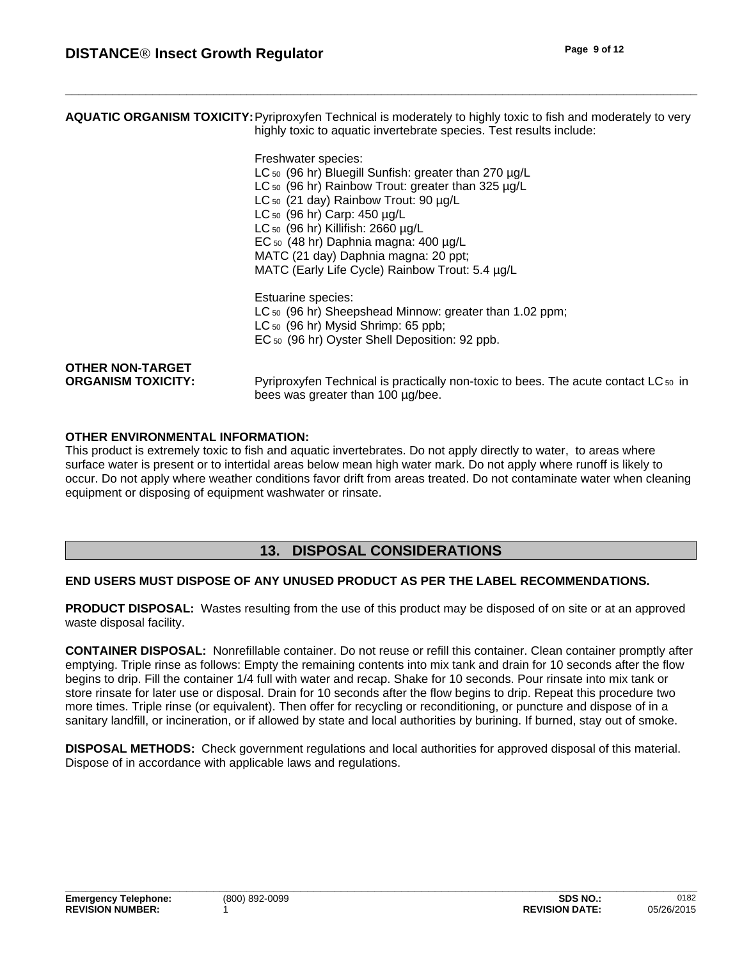**AQUATIC ORGANISM TOXICITY:**Pyriproxyfen Technical is moderately to highly toxic to fish and moderately to very highly toxic to aquatic invertebrate species. Test results include:

Freshwater species:<br>LC = (00 kg) Plus aill Curtishs are starth an

|                           | LC $50$ (96 hr) Bluegill Sunfish: greater than 270 $\mu$ g/L                                                             |
|---------------------------|--------------------------------------------------------------------------------------------------------------------------|
|                           | LC $50$ (96 hr) Rainbow Trout: greater than 325 $\mu$ g/L                                                                |
|                           | LC <sub>50</sub> (21 day) Rainbow Trout: 90 µg/L                                                                         |
|                           | LC $50$ (96 hr) Carp: 450 $\mu$ g/L                                                                                      |
|                           | LC $50$ (96 hr) Killifish: 2660 $\mu$ g/L                                                                                |
|                           | EC $50$ (48 hr) Daphnia magna: 400 $\mu$ g/L                                                                             |
|                           | MATC (21 day) Daphnia magna: 20 ppt;                                                                                     |
|                           | MATC (Early Life Cycle) Rainbow Trout: 5.4 µg/L                                                                          |
|                           | <b>Estuarine species:</b>                                                                                                |
|                           | LC <sub>50</sub> (96 hr) Sheepshead Minnow: greater than 1.02 ppm;                                                       |
|                           | $LC_{50}$ (96 hr) Mysid Shrimp: 65 ppb;                                                                                  |
|                           | EC <sub>50</sub> (96 hr) Oyster Shell Deposition: 92 ppb.                                                                |
| <b>OTHER NON-TARGET</b>   |                                                                                                                          |
| <b>ORGANISM TOXICITY:</b> | Pyriproxyfen Technical is practically non-toxic to bees. The acute contact LC 50 in<br>bees was greater than 100 µg/bee. |
|                           |                                                                                                                          |

#### **OTHER ENVIRONMENTAL INFORMATION:**

This product is extremely toxic to fish and aquatic invertebrates. Do not apply directly to water, to areas where surface water is present or to intertidal areas below mean high water mark. Do not apply where runoff is likely to occur. Do not apply where weather conditions favor drift from areas treated. Do not contaminate water when cleaning equipment or disposing of equipment washwater or rinsate.

### **13. DISPOSAL CONSIDERATIONS**

#### **END USERS MUST DISPOSE OF ANY UNUSED PRODUCT AS PER THE LABEL RECOMMENDATIONS.**

**PRODUCT DISPOSAL:** Wastes resulting from the use of this product may be disposed of on site or at an approved waste disposal facility.

**CONTAINER DISPOSAL:** Nonrefillable container. Do not reuse or refill this container. Clean container promptly after emptying. Triple rinse as follows: Empty the remaining contents into mix tank and drain for 10 seconds after the flow begins to drip. Fill the container 1/4 full with water and recap. Shake for 10 seconds. Pour rinsate into mix tank or store rinsate for later use or disposal. Drain for 10 seconds after the flow begins to drip. Repeat this procedure two more times. Triple rinse (or equivalent). Then offer for recycling or reconditioning, or puncture and dispose of in a sanitary landfill, or incineration, or if allowed by state and local authorities by burining. If burned, stay out of smoke.

**DISPOSAL METHODS:** Check government regulations and local authorities for approved disposal of this material. Dispose of in accordance with applicable laws and regulations.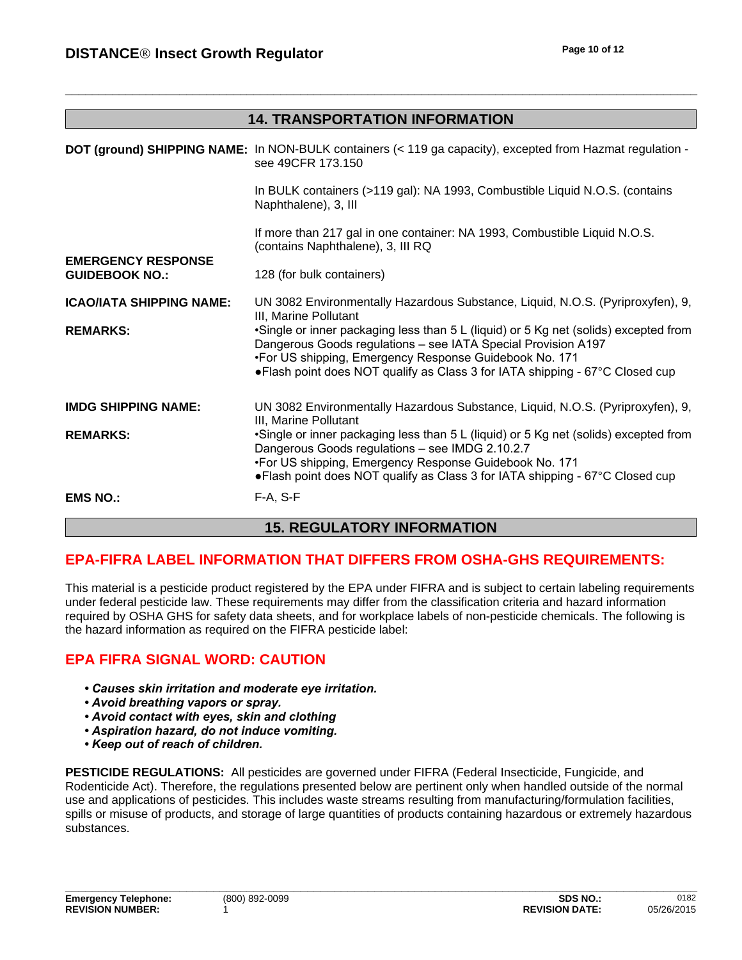|                                                    | <b>14. TRANSPORTATION INFORMATION</b>                                                                                                                                                                                                                                                            |
|----------------------------------------------------|--------------------------------------------------------------------------------------------------------------------------------------------------------------------------------------------------------------------------------------------------------------------------------------------------|
|                                                    |                                                                                                                                                                                                                                                                                                  |
|                                                    | DOT (ground) SHIPPING NAME: In NON-BULK containers (< 119 ga capacity), excepted from Hazmat regulation -<br>see 49CFR 173.150                                                                                                                                                                   |
|                                                    | In BULK containers (>119 gal): NA 1993, Combustible Liquid N.O.S. (contains<br>Naphthalene), 3, III                                                                                                                                                                                              |
|                                                    | If more than 217 gal in one container: NA 1993, Combustible Liquid N.O.S.<br>(contains Naphthalene), 3, III RQ                                                                                                                                                                                   |
| <b>EMERGENCY RESPONSE</b><br><b>GUIDEBOOK NO.:</b> | 128 (for bulk containers)                                                                                                                                                                                                                                                                        |
| ICAO/IATA SHIPPING NAME:                           | UN 3082 Environmentally Hazardous Substance, Liquid, N.O.S. (Pyriproxyfen), 9,<br>III, Marine Pollutant                                                                                                                                                                                          |
| <b>REMARKS:</b>                                    | •Single or inner packaging less than 5 L (liquid) or 5 Kg net (solids) excepted from<br>Dangerous Goods regulations - see IATA Special Provision A197<br>•For US shipping, Emergency Response Guidebook No. 171<br>• Flash point does NOT qualify as Class 3 for IATA shipping - 67°C Closed cup |
| <b>IMDG SHIPPING NAME:</b>                         | UN 3082 Environmentally Hazardous Substance, Liquid, N.O.S. (Pyriproxyfen), 9,<br>III, Marine Pollutant                                                                                                                                                                                          |
| <b>REMARKS:</b>                                    | •Single or inner packaging less than 5 L (liquid) or 5 Kg net (solids) excepted from<br>Dangerous Goods regulations - see IMDG 2.10.2.7<br>•For US shipping, Emergency Response Guidebook No. 171<br>• Flash point does NOT qualify as Class 3 for IATA shipping - 67°C Closed cup               |
| <b>EMS NO.:</b>                                    | F-A, S-F                                                                                                                                                                                                                                                                                         |

# **15. REGULATORY INFORMATION**

# **EPA-FIFRA LABEL INFORMATION THAT DIFFERS FROM OSHA-GHS REQUIREMENTS:**

This material is a pesticide product registered by the EPA under FIFRA and is subject to certain labeling requirements under federal pesticide law. These requirements may differ from the classification criteria and hazard information required by OSHA GHS for safety data sheets, and for workplace labels of non-pesticide chemicals. The following is the hazard information as required on the FIFRA pesticide label:

# **EPA FIFRA SIGNAL WORD: CAUTION**

- **Causes skin irritation and moderate eye irritation.**
- **Avoid breathing vapors or spray.**
- *•Avoidcontactwitheyes,skinandclothing*
- **Aspiration hazard, do not induce vomiting.**
- *•Keepoutofreachofchildren.*

**PESTICIDE REGULATIONS:** All pesticides are governed under FIFRA (Federal Insecticide, Fungicide, and Rodenticide Act). Therefore, the regulations presented below are pertinent only when handled outside of the normal use and applications of pesticides. This includes waste streams resulting from manufacturing/formulation facilities, spills or misuse of products, and storage of large quantities of products containing hazardous or extremely hazardous substances.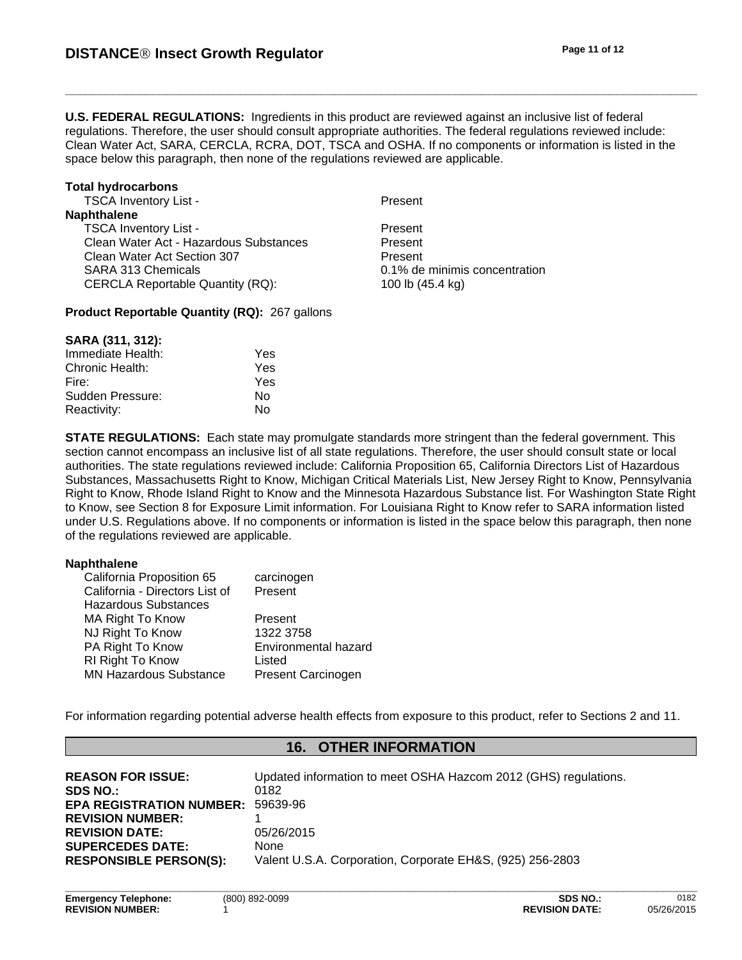**U.S. FEDERAL REGULATIONS:** Ingredients in this product are reviewed against an inclusive list of federal regulations. Therefore, the user should consult appropriate authorities. The federal regulations reviewed include: Clean Water Act, SARA, CERCLA, RCRA, DOT, TSCA and OSHA. If no components or information is listed in the space below this paragraph, then none of the regulations reviewed are applicable.

#### **Total hydrocarbons**

TSCA Inventory List - The Present **Naphthalene** TSCA Inventory List -<br>Clean Water Act - Hazardous Substances Present Clean Water Act - Hazardous Substances Clean Water Act Section 307 Present SARA 313 Chemicals 0.1% de minimis concentration CERCLA Reportable Quantity (RQ): 100 lb (45.4 kg)

**Product Reportable Quantity (RQ):** 267 gallons

#### **SARA (311, 312):**

| Immediate Health: | Yes |  |
|-------------------|-----|--|
| Chronic Health:   | Yes |  |
| Fire:             | Yes |  |
| Sudden Pressure:  | N٥  |  |
| Reactivity:       | N٥  |  |

**STATE REGULATIONS:** Each state may promulgate standards more stringent than the federal government. This section cannot encompass an inclusive list of all state regulations. Therefore, the user should consult state or local authorities. The state regulations reviewed include: California Proposition 65, California Directors List of Hazardous Substances, Massachusetts Right to Know, Michigan Critical Materials List, New Jersey Right to Know, Pennsylvania Right to Know, Rhode Island Right to Know and the Minnesota Hazardous Substance list. For Washington State Right to Know, see Section 8 for Exposure Limit information. For Louisiana Right to Know refer to SARA information listed under U.S. Regulations above. If no components or information is listed in the space below this paragraph, then none of the regulations reviewed are applicable.

#### **Naphthalene**

| California Proposition 65      | carcinogen                |
|--------------------------------|---------------------------|
| California - Directors List of | Present                   |
| Hazardous Substances           |                           |
| MA Right To Know               | Present                   |
| NJ Right To Know               | 1322 3758                 |
| PA Right To Know               | Environmental hazard      |
| <b>RI Right To Know</b>        | Listed                    |
| <b>MN Hazardous Substance</b>  | <b>Present Carcinogen</b> |

For information regarding potential adverse health effects from exposure to this product, refer to Sections 2 and 11.

### **16. OTHER INFORMATION**

| <b>REASON FOR ISSUE:</b><br><b>SDS NO.:</b> | Updated information to meet OSHA Hazcom 2012 (GHS) regulations.<br>0182 |
|---------------------------------------------|-------------------------------------------------------------------------|
| <b>EPA REGISTRATION NUMBER:</b>             | 59639-96                                                                |
| <b>REVISION NUMBER:</b>                     |                                                                         |
| <b>REVISION DATE:</b>                       | 05/26/2015                                                              |
| <b>SUPERCEDES DATE:</b>                     | None                                                                    |
| <b>RESPONSIBLE PERSON(S):</b>               | Valent U.S.A. Corporation, Corporate EH&S, (925) 256-2803               |